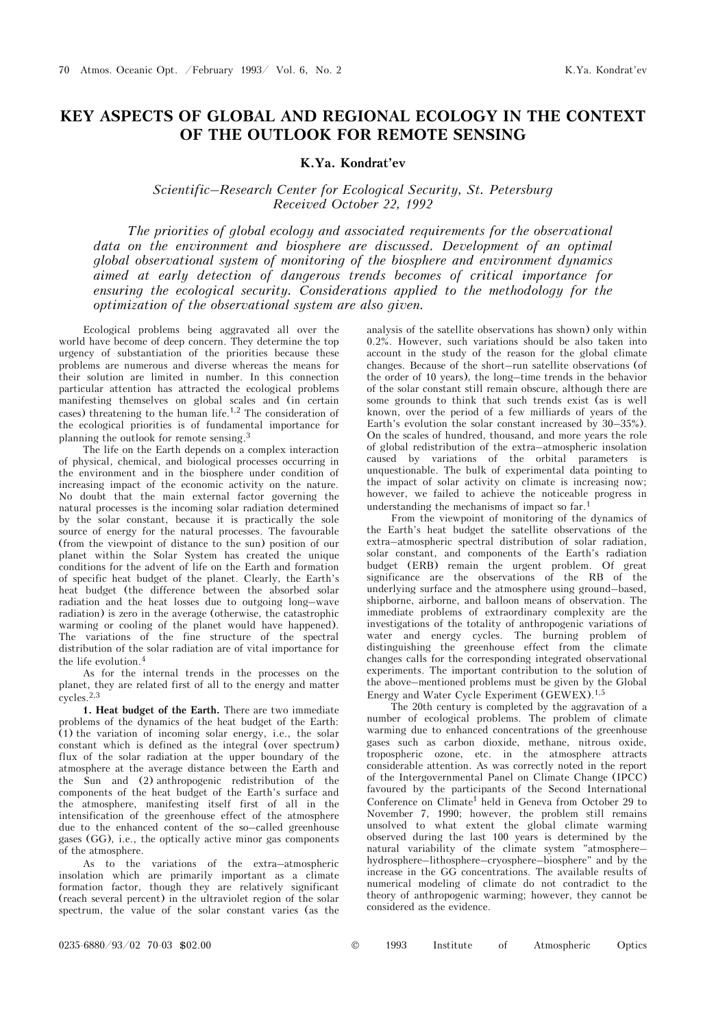## **KEY ASPECTS OF GLOBAL AND REGIONAL ECOLOGY IN THE CONTEXT OF THE OUTLOOK FOR REMOTE SENSING**

## **K.Ya. Kondrat'ev**

## *Scientific–Research Center for Ecological Security, St. Petersburg Received October 22, 1992*

*The priorities of global ecology and associated requirements for the observational*  data on the environment and biosphere are discussed. Development of an optimal *global observational system of monitoring of the biosphere and environment dynamics aimed at early detection of dangerous trends becomes of critical importance for ensuring the ecological security. Considerations applied to the methodology for the optimization of the observational system are also given.* 

Ecological problems being aggravated all over the world have become of deep concern. They determine the top urgency of substantiation of the priorities because these problems are numerous and diverse whereas the means for their solution are limited in number. In this connection particular attention has attracted the ecological problems manifesting themselves on global scales and (in certain cases) threatening to the human life.<sup>1,2</sup> The consideration of the ecological priorities is of fundamental importance for planning the outlook for remote sensing.<sup>3</sup>

The life on the Earth depends on a complex interaction of physical, chemical, and biological processes occurring in the environment and in the biosphere under condition of increasing impact of the economic activity on the nature. No doubt that the main external factor governing the natural processes is the incoming solar radiation determined by the solar constant, because it is practically the sole source of energy for the natural processes. The favourable (from the viewpoint of distance to the sun) position of our planet within the Solar System has created the unique conditions for the advent of life on the Earth and formation of specific heat budget of the planet. Clearly, the Earth's heat budget (the difference between the absorbed solar radiation and the heat losses due to outgoing long–wave radiation) is zero in the average (otherwise, the catastrophic warming or cooling of the planet would have happened). The variations of the fine structure of the spectral distribution of the solar radiation are of vital importance for the life evolution.<sup>4</sup>

As for the internal trends in the processes on the planet, they are related first of all to the energy and matter cycles.2,3

**1. Heat budget of the Earth.** There are two immediate problems of the dynamics of the heat budget of the Earth:  $(1)$  the variation of incoming solar energy, i.e., the solar constant which is defined as the integral (over spectrum) flux of the solar radiation at the upper boundary of the atmosphere at the average distance between the Earth and the Sun and (2) anthropogenic redistribution of the components of the heat budget of the Earth's surface and the atmosphere, manifesting itself first of all in the intensification of the greenhouse effect of the atmosphere due to the enhanced content of the so–called greenhouse gases (GG), i.e., the optically active minor gas components of the atmosphere.

As to the variations of the extra–atmospheric insolation which are primarily important as a climate formation factor, though they are relatively significant (reach several percent) in the ultraviolet region of the solar spectrum, the value of the solar constant varies (as the

analysis of the satellite observations has shown) only within 0.2%. However, such variations should be also taken into account in the study of the reason for the global climate changes. Because of the short–run satellite observations (of the order of 10 years), the long–time trends in the behavior of the solar constant still remain obscure, although there are some grounds to think that such trends exist (as is well known, over the period of a few milliards of years of the Earth's evolution the solar constant increased by 30–35%). On the scales of hundred, thousand, and more years the role of global redistribution of the extra–atmospheric insolation caused by variations of the orbital parameters is unquestionable. The bulk of experimental data pointing to the impact of solar activity on climate is increasing now; however, we failed to achieve the noticeable progress in understanding the mechanisms of impact so far.<sup>1</sup>

From the viewpoint of monitoring of the dynamics of the Earth's heat budget the satellite observations of the extra–atmospheric spectral distribution of solar radiation, solar constant, and components of the Earth's radiation budget (ERB) remain the urgent problem. Of great significance are the observations of the RB of the underlying surface and the atmosphere using ground–based, shipborne, airborne, and balloon means of observation. The immediate problems of extraordinary complexity are the investigations of the totality of anthropogenic variations of water and energy cycles. The burning problem of distinguishing the greenhouse effect from the climate changes calls for the corresponding integrated observational experiments. The important contribution to the solution of the above–mentioned problems must be given by the Global Energy and Water Cycle Experiment (GEWEX).1,5

The 20th century is completed by the aggravation of a number of ecological problems. The problem of climate warming due to enhanced concentrations of the greenhouse gases such as carbon dioxide, methane, nitrous oxide, tropospheric ozone, etc. in the atmosphere attracts considerable attention. As was correctly noted in the report of the Intergovernmental Panel on Climate Change (IPCC) favoured by the participants of the Second International Conference on Climate<sup>1</sup> held in Geneva from October 29 to November 7, 1990; however, the problem still remains unsolved to what extent the global climate warming observed during the last 100 years is determined by the natural variability of the climate system "atmosphere– hydrosphere–lithosphere–cryosphere–biosphere" and by the increase in the GG concentrations. The available results of numerical modeling of climate do not contradict to the theory of anthropogenic warming; however, they cannot be considered as the evidence.

| $0235-6880/93/02$ 70-03 \$02.00<br>Institute of Atmospheric |  |  | 1993 |  |  |  | Optics |
|-------------------------------------------------------------|--|--|------|--|--|--|--------|
|-------------------------------------------------------------|--|--|------|--|--|--|--------|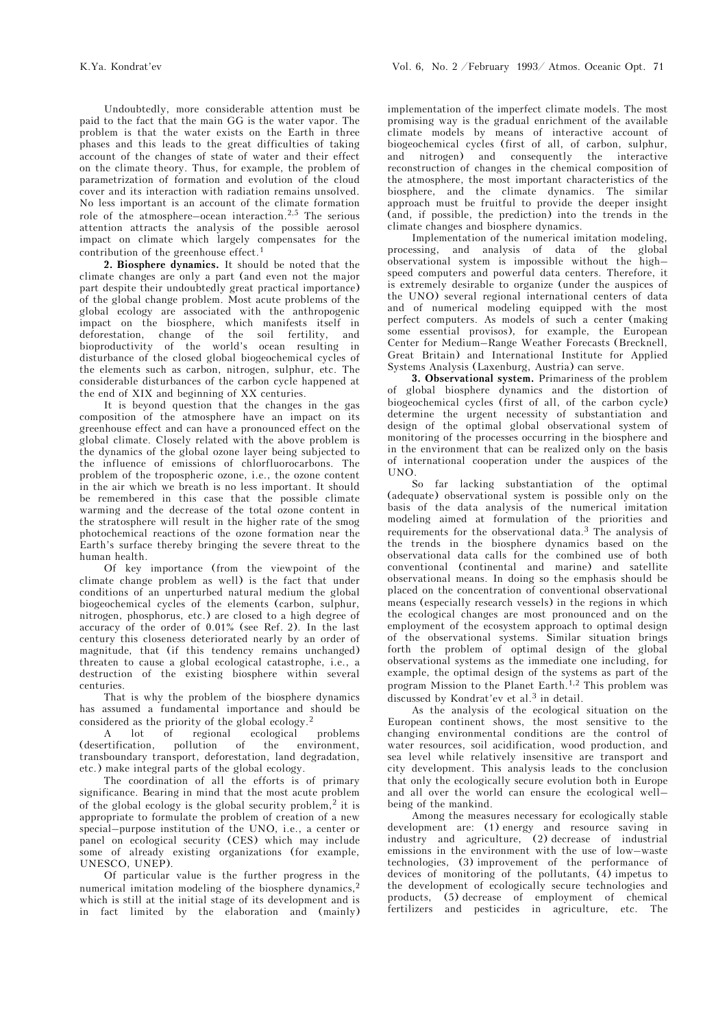Undoubtedly, more considerable attention must be paid to the fact that the main GG is the water vapor. The problem is that the water exists on the Earth in three phases and this leads to the great difficulties of taking account of the changes of state of water and their effect on the climate theory. Thus, for example, the problem of parametrization of formation and evolution of the cloud cover and its interaction with radiation remains unsolved. No less important is an account of the climate formation role of the atmosphere–ocean interaction.<sup>2,5</sup> The serious attention attracts the analysis of the possible aerosol impact on climate which largely compensates for the contribution of the greenhouse effect.<sup>1</sup>

**2. Biosphere dynamics.** It should be noted that the climate changes are only a part (and even not the major part despite their undoubtedly great practical importance) of the global change problem. Most acute problems of the global ecology are associated with the anthropogenic impact on the biosphere, which manifests itself in deforestation, change of the soil fertility, and bioproductivity of the world's ocean resulting in disturbance of the closed global biogeochemical cycles of the elements such as carbon, nitrogen, sulphur, etc. The considerable disturbances of the carbon cycle happened at the end of XIX and beginning of XX centuries.

It is beyond question that the changes in the gas composition of the atmosphere have an impact on its greenhouse effect and can have a pronounced effect on the global climate. Closely related with the above problem is the dynamics of the global ozone layer being subjected to the influence of emissions of chlorfluorocarbons. The problem of the tropospheric ozone, i.e., the ozone content in the air which we breath is no less important. It should be remembered in this case that the possible climate warming and the decrease of the total ozone content in the stratosphere will result in the higher rate of the smog photochemical reactions of the ozone formation near the Earth's surface thereby bringing the severe threat to the human health.

Of key importance (from the viewpoint of the climate change problem as well) is the fact that under conditions of an unperturbed natural medium the global biogeochemical cycles of the elements (carbon, sulphur, nitrogen, phosphorus, etc.) are closed to a high degree of accuracy of the order of 0.01% (see Ref. 2). In the last century this closeness deteriorated nearly by an order of magnitude, that (if this tendency remains unchanged) threaten to cause a global ecological catastrophe, i.e., a destruction of the existing biosphere within several centuries.

That is why the problem of the biosphere dynamics has assumed a fundamental importance and should be considered as the priority of the global ecology.<sup>2</sup>

A lot of regional ecological problems (desertification, pollution of the environment, transboundary transport, deforestation, land degradation, etc.) make integral parts of the global ecology.

The coordination of all the efforts is of primary significance. Bearing in mind that the most acute problem of the global ecology is the global security problem,<sup>2</sup> it is appropriate to formulate the problem of creation of a new special–purpose institution of the UNO, i.e., a center or panel on ecological security (CES) which may include some of already existing organizations (for example, UNESCO, UNEP).

Of particular value is the further progress in the numerical imitation modeling of the biosphere dynamics.<sup>2</sup> which is still at the initial stage of its development and is in fact limited by the elaboration and (mainly) implementation of the imperfect climate models. The most promising way is the gradual enrichment of the available climate models by means of interactive account of biogeochemical cycles (first of all, of carbon, sulphur, and nitrogen) and consequently the interactive reconstruction of changes in the chemical composition of the atmosphere, the most important characteristics of the biosphere, and the climate dynamics. The similar approach must be fruitful to provide the deeper insight (and, if possible, the prediction) into the trends in the climate changes and biosphere dynamics.

Implementation of the numerical imitation modeling, processing, and analysis of data of the global observational system is impossible without the high– speed computers and powerful data centers. Therefore, it is extremely desirable to organize (under the auspices of the UNO) several regional international centers of data and of numerical modeling equipped with the most perfect computers. As models of such a center (making some essential provisos), for example, the European Center for Medium–Range Weather Forecasts (Brecknell, Great Britain) and International Institute for Applied Systems Analysis (Laxenburg, Austria) can serve.

**3. Observational system.** Primariness of the problem of global biosphere dynamics and the distortion of biogeochemical cycles (first of all, of the carbon cycle) determine the urgent necessity of substantiation and design of the optimal global observational system of monitoring of the processes occurring in the biosphere and in the environment that can be realized only on the basis of international cooperation under the auspices of the UNO.

So far lacking substantiation of the optimal (adequate) observational system is possible only on the basis of the data analysis of the numerical imitation modeling aimed at formulation of the priorities and requirements for the observational data.3 The analysis of the trends in the biosphere dynamics based on the observational data calls for the combined use of both conventional (continental and marine) and satellite observational means. In doing so the emphasis should be placed on the concentration of conventional observational means (especially research vessels) in the regions in which the ecological changes are most pronounced and on the employment of the ecosystem approach to optimal design of the observational systems. Similar situation brings forth the problem of optimal design of the global observational systems as the immediate one including, for example, the optimal design of the systems as part of the program Mission to the Planet Earth.1,2 This problem was discussed by Kondrat'ev et al.<sup>3</sup> in detail.

As the analysis of the ecological situation on the European continent shows, the most sensitive to the changing environmental conditions are the control of water resources, soil acidification, wood production, and sea level while relatively insensitive are transport and city development. This analysis leads to the conclusion that only the ecologically secure evolution both in Europe and all over the world can ensure the ecological well– being of the mankind.

Among the measures necessary for ecologically stable development are: (1) energy and resource saving in industry and agriculture, (2) decrease of industrial emissions in the environment with the use of low–waste technologies, (3) improvement of the performance of devices of monitoring of the pollutants, (4) impetus to the development of ecologically secure technologies and products, (5) decrease of employment of chemical fertilizers and pesticides in agriculture, etc. The